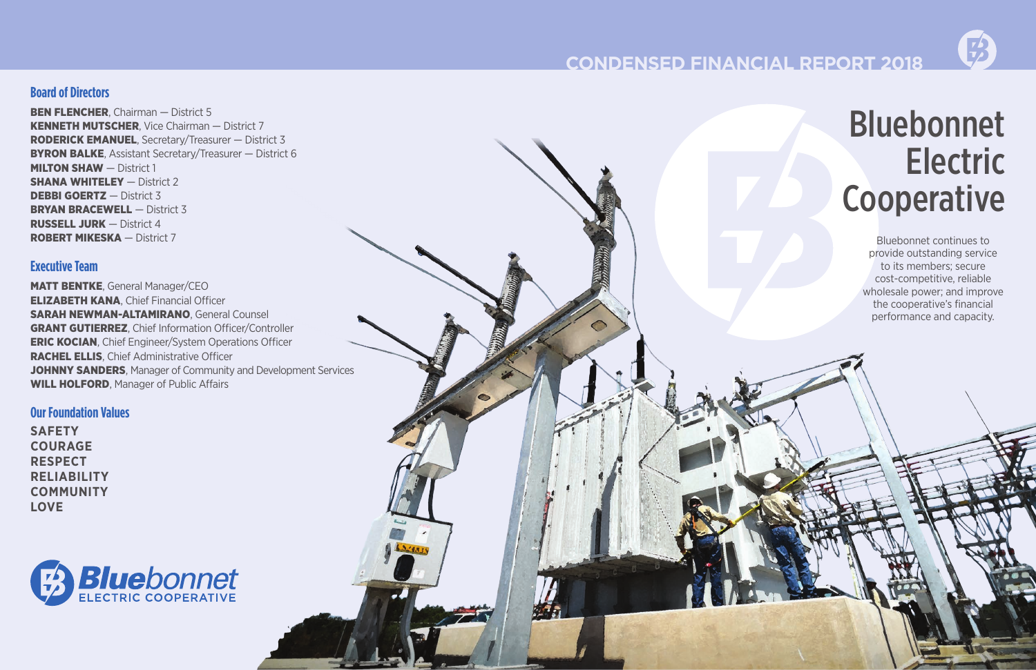## **CONDENSED FINANCIAL REPORT 2018**

# Bluebonnet Electric Cooperative

Bluebonnet continues to provide outstanding service to its members; secure cost-competitive, reliable wholesale power; and improve the cooperative's financial performance and capacity.

## **Board of Directors**

**BEN FLENCHER, Chairman – District 5** KENNETH MUTSCHER, Vice Chairman — District 7 RODERICK EMANUEL, Secretary/Treasurer — District 3 BYRON BALKE, Assistant Secretary/Treasurer — District 6 **MILTON SHAW** - District 1 **SHANA WHITELEY** - District 2 **DEBBI GOERTZ** – District 3 **BRYAN BRACEWELL** — District 3 RUSSELL JURK — District 4 ROBERT MIKESKA — District 7

MATT BENTKE, General Manager/CEO ELIZABETH KANA, Chief Financial Officer SARAH NEWMAN-ALTAMIRANO, General Counsel GRANT GUTIERREZ, Chief Information Officer/Controller ERIC KOCIAN, Chief Engineer/System Operations Officer RACHEL ELLIS, Chief Administrative Officer **JOHNNY SANDERS, Manager of Community and Development Services** WILL HOLFORD, Manager of Public Affairs

63.487

### **Executive Team**

### **Our Foundation Values**

**SAFETY COURAGE RESPECT RELIABILITY COMMUNITY LOVE**